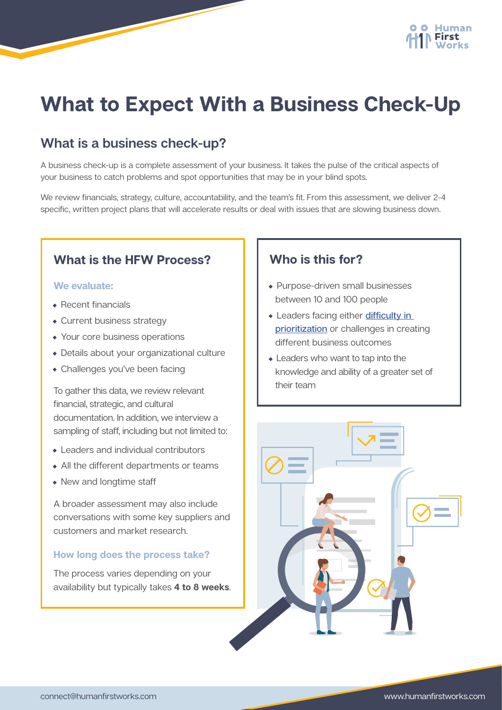

# **What to Expect With a Business Check-Up**

# **What is a business check-up?**

A business check-up is a complete assessment of your business. It takes the pulse of the critical aspects of your business to catch problems and spot opportunities that may be in your blind spots.

We review financials, strategy, culture, accountability, and the team's fit. From this assessment, we deliver 2-4 specific, written project plans that will accelerate results or deal with issues that are slowing business down.

## **What is the HFW Process?**

#### **We evaluate:**

- Recent financials
- Current business strategy
- Your core business operations
- Details about your organizational culture
- Challenges you've been facing

To gather this data, we review relevant financial, strategic, and cultural documentation. In addition, we interview a sampling of staff, including but not limited to:

- Leaders and individual contributors
- All the different departments or teams
- New and longtime staff

A broader assessment may also include conversations with some key suppliers and customers and market research.

#### **How long does the process take?**

The process varies depending on your availability but typically takes **4 to 8 weeks**.

## **Who is this for?**

- Purpose-driven small businesses between 10 and 100 people
- Leaders facing either difficulty in [prioritization](https://humanfirstworks.com/own-your-time/) or challenges in creating different business outcomes
- Leaders who want to tap into the knowledge and ability of a greater set of their team

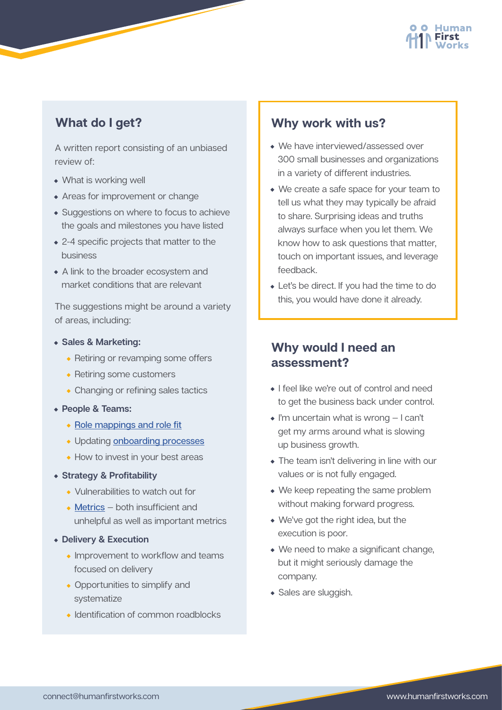

## **What do I get?**

A written report consisting of an unbiased review of:

- What is working well
- Areas for improvement or change
- Suggestions on where to focus to achieve the goals and milestones you have listed
- 2-4 specific projects that matter to the business
- A link to the broader ecosystem and market conditions that are relevant

The suggestions might be around a variety of areas, including:

- **Sales & Marketing:**
	- Retiring or revamping some offers
	- Retiring some customers
	- Changing or refining sales tactics
- **People & Teams:**
	- [Role mappings and role fit](https://humanfirstworks.com/the-role-advice-process-helping-individuals-find-their-optimum-role/)
	- Updating [onboarding processes](https://humanfirstworks.com/the-new-joiner-experience/)
	- How to invest in your best areas
- **Strategy & Profitability** 
	- Vulnerabilities to watch out for
	- [Metrics](https://humanfirstworks.com/co-creating-performance-metrics-to-engage-the-team/) both insufficient and unhelpful as well as important metrics
- **Delivery & Execution**
	- Improvement to workflow and teams focused on delivery
	- Opportunities to simplify and systematize
	- Identification of common roadblocks

#### **Why work with us?**

- We have interviewed/assessed over 300 small businesses and organizations in a variety of different industries.
- We create a safe space for your team to tell us what they may typically be afraid to share. Surprising ideas and truths always surface when you let them. We know how to ask questions that matter, touch on important issues, and leverage feedback.
- Let's be direct. If you had the time to do this, you would have done it already.

### **Why would I need an assessment?**

- I feel like we're out of control and need to get the business back under control.
- I'm uncertain what is wrong I can't get my arms around what is slowing up business growth.
- The team isn't delivering in line with our values or is not fully engaged.
- We keep repeating the same problem without making forward progress.
- We've got the right idea, but the execution is poor.
- We need to make a significant change, but it might seriously damage the company.
- Sales are sluggish.